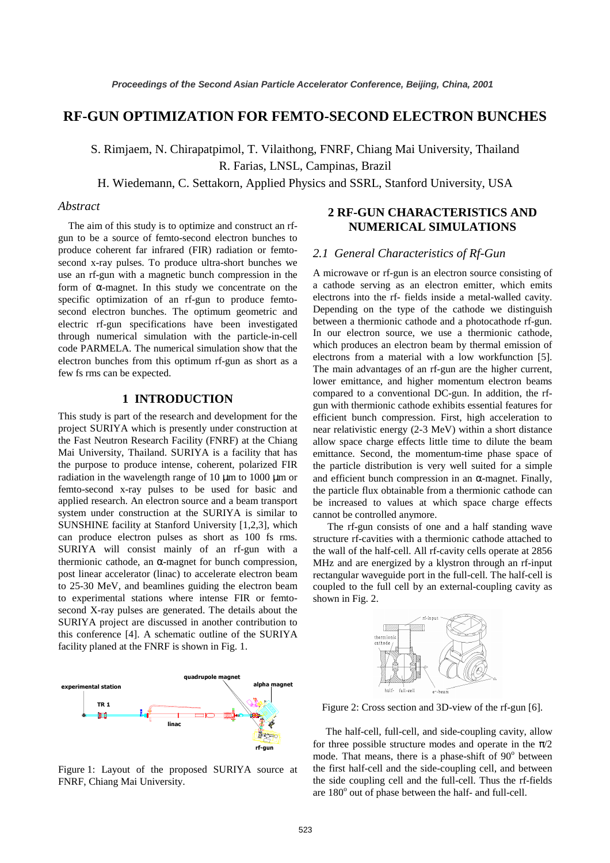# **RF-GUN OPTIMIZATION FOR FEMTO-SECOND ELECTRON BUNCHES**

S. Rimjaem, N. Chirapatpimol, T. Vilaithong, FNRF, Chiang Mai University, Thailand

R. Farias, LNSL, Campinas, Brazil

H. Wiedemann, C. Settakorn, Applied Physics and SSRL, Stanford University, USA

## *Abstract*

The aim of this study is to optimize and construct an rfgun to be a source of femto-second electron bunches to produce coherent far infrared (FIR) radiation or femtosecond x-ray pulses. To produce ultra-short bunches we use an rf-gun with a magnetic bunch compression in the form of α-magnet. In this study we concentrate on the specific optimization of an rf-gun to produce femtosecond electron bunches. The optimum geometric and electric rf-gun specifications have been investigated through numerical simulation with the particle-in-cell code PARMELA. The numerical simulation show that the electron bunches from this optimum rf-gun as short as a few fs rms can be expected.

### **1 INTRODUCTION**

This study is part of the research and development for the project SURIYA which is presently under construction at the Fast Neutron Research Facility (FNRF) at the Chiang Mai University, Thailand. SURIYA is a facility that has the purpose to produce intense, coherent, polarized FIR radiation in the wavelength range of 10  $\mu$ m to 1000  $\mu$ m or femto-second x-ray pulses to be used for basic and applied research. An electron source and a beam transport system under construction at the SURIYA is similar to SUNSHINE facility at Stanford University [1,2,3], which can produce electron pulses as short as 100 fs rms. SURIYA will consist mainly of an rf-gun with a thermionic cathode, an  $\alpha$ -magnet for bunch compression, post linear accelerator (linac) to accelerate electron beam to 25-30 MeV, and beamlines guiding the electron beam to experimental stations where intense FIR or femtosecond X-ray pulses are generated. The details about the SURIYA project are discussed in another contribution to this conference [4]. A schematic outline of the SURIYA facility planed at the FNRF is shown in Fig. 1.



Figure 1: Layout of the proposed SURIYA source at FNRF, Chiang Mai University.

## **2 RF-GUN CHARACTERISTICS AND NUMERICAL SIMULATIONS**

## *2.1 General Characteristics of Rf-Gun*

A microwave or rf-gun is an electron source consisting of a cathode serving as an electron emitter, which emits electrons into the rf- fields inside a metal-walled cavity. Depending on the type of the cathode we distinguish between a thermionic cathode and a photocathode rf-gun. In our electron source, we use a thermionic cathode, which produces an electron beam by thermal emission of electrons from a material with a low workfunction [5]. The main advantages of an rf-gun are the higher current, lower emittance, and higher momentum electron beams compared to a conventional DC-gun. In addition, the rfgun with thermionic cathode exhibits essential features for efficient bunch compression. First, high acceleration to near relativistic energy (2-3 MeV) within a short distance allow space charge effects little time to dilute the beam emittance. Second, the momentum-time phase space of the particle distribution is very well suited for a simple and efficient bunch compression in an  $\alpha$ -magnet. Finally, the particle flux obtainable from a thermionic cathode can be increased to values at which space charge effects cannot be controlled anymore.

The rf-gun consists of one and a half standing wave structure rf-cavities with a thermionic cathode attached to the wall of the half-cell. All rf-cavity cells operate at 2856 MHz and are energized by a klystron through an rf-input rectangular waveguide port in the full-cell. The half-cell is coupled to the full cell by an external-coupling cavity as shown in Fig. 2.



Figure 2: Cross section and 3D-view of the rf-gun [6].

 The half-cell, full-cell, and side-coupling cavity, allow for three possible structure modes and operate in the  $\pi/2$ mode. That means, there is a phase-shift of 90° between the first half-cell and the side-coupling cell, and between the side coupling cell and the full-cell. Thus the rf-fields are  $180^\circ$  out of phase between the half- and full-cell.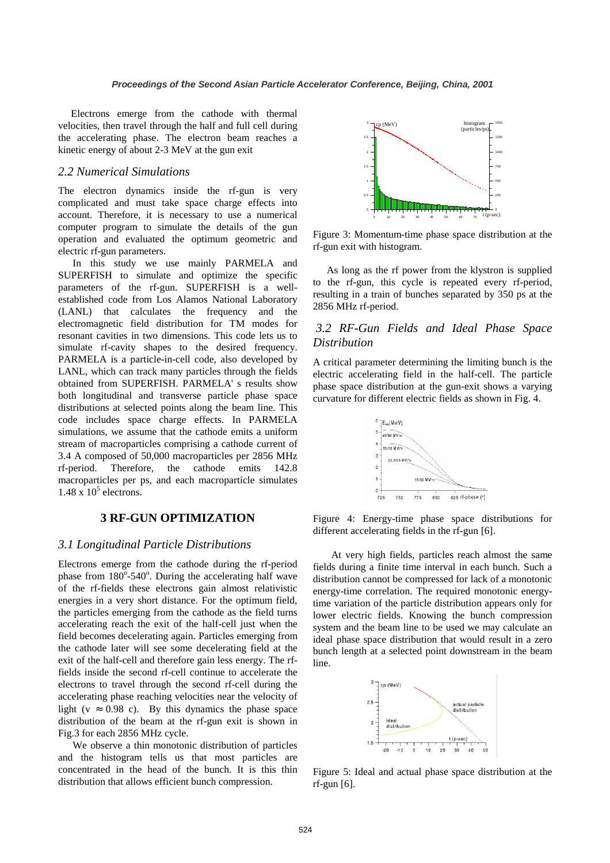Electrons emerge from the cathode with thermal velocities, then travel through the half and full cell during the accelerating phase. The electron beam reaches a kinetic energy of about 2-3 MeV at the gun exit

### *2.2 Numerical Simulations*

The electron dynamics inside the rf-gun is very complicated and must take space charge effects into account. Therefore, it is necessary to use a numerical computer program to simulate the details of the gun operation and evaluated the optimum geometric and electric rf-gun parameters.

In this study we use mainly PARMELA and SUPERFISH to simulate and optimize the specific parameters of the rf-gun. SUPERFISH is a wellestablished code from Los Alamos National Laboratory (LANL) that calculates the frequency and the electromagnetic field distribution for TM modes for resonant cavities in two dimensions. This code lets us to simulate rf-cavity shapes to the desired frequency. PARMELA is a particle-in-cell code, also developed by LANL, which can track many particles through the fields obtained from SUPERFISH. PARMELA' s results show both longitudinal and transverse particle phase space distributions at selected points along the beam line. This code includes space charge effects. In PARMELA simulations, we assume that the cathode emits a uniform stream of macroparticles comprising a cathode current of 3.4 A composed of 50,000 macroparticles per 2856 MHz rf-period. Therefore, the cathode emits 142.8 macroparticles per ps, and each macroparticle simulates  $1.48 \times 10^5$  electrons.

## **3 RF-GUN OPTIMIZATION**

## *3.1 Longitudinal Particle Distributions*

Electrons emerge from the cathode during the rf-period phase from  $180^\circ$ -540°. During the accelerating half wave of the rf-fields these electrons gain almost relativistic energies in a very short distance. For the optimum field, the particles emerging from the cathode as the field turns accelerating reach the exit of the half-cell just when the field becomes decelerating again. Particles emerging from the cathode later will see some decelerating field at the exit of the half-cell and therefore gain less energy. The rffields inside the second rf-cell continue to accelerate the electrons to travel through the second rf-cell during the accelerating phase reaching velocities near the velocity of light ( $v \approx 0.98$  c). By this dynamics the phase space distribution of the beam at the rf-gun exit is shown in Fig.3 for each 2856 MHz cycle.

We observe a thin monotonic distribution of particles and the histogram tells us that most particles are concentrated in the head of the bunch. It is this thin distribution that allows efficient bunch compression.



Figure 3: Momentum-time phase space distribution at the rf-gun exit with histogram.

As long as the rf power from the klystron is supplied to the rf-gun, this cycle is repeated every rf-period, resulting in a train of bunches separated by 350 ps at the 2856 MHz rf-period.

## *3.2 RF-Gun Fields and Ideal Phase Space Distribution*

A critical parameter determining the limiting bunch is the electric accelerating field in the half-cell. The particle phase space distribution at the gun-exit shows a varying curvature for different electric fields as shown in Fig. 4.



Figure 4: Energy-time phase space distributions for different accelerating fields in the rf-gun [6].

At very high fields, particles reach almost the same fields during a finite time interval in each bunch. Such a distribution cannot be compressed for lack of a monotonic energy-time correlation. The required monotonic energytime variation of the particle distribution appears only for lower electric fields. Knowing the bunch compression system and the beam line to be used we may calculate an ideal phase space distribution that would result in a zero bunch length at a selected point downstream in the beam line.



Figure 5: Ideal and actual phase space distribution at the rf-gun [6].